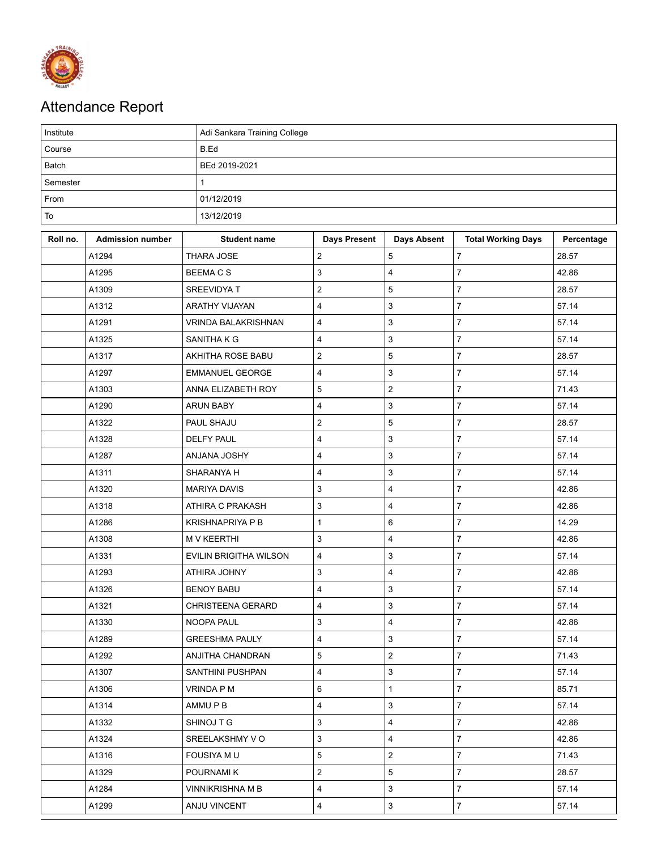

## Attendance Report

| Institute |                         | Adi Sankara Training College |                           |                         |                           |            |  |  |
|-----------|-------------------------|------------------------------|---------------------------|-------------------------|---------------------------|------------|--|--|
| Course    |                         | B.Ed                         |                           |                         |                           |            |  |  |
| Batch     |                         | BEd 2019-2021                |                           |                         |                           |            |  |  |
| Semester  |                         | $\mathbf{1}$                 |                           |                         |                           |            |  |  |
| From      |                         | 01/12/2019                   |                           |                         |                           |            |  |  |
| To        |                         | 13/12/2019                   |                           |                         |                           |            |  |  |
| Roll no.  | <b>Admission number</b> | <b>Student name</b>          | <b>Days Present</b>       | <b>Days Absent</b>      | <b>Total Working Days</b> | Percentage |  |  |
|           | A1294                   | <b>THARA JOSE</b>            | $\overline{c}$            | 5                       | $\overline{7}$            | 28.57      |  |  |
|           | A1295                   | <b>BEEMACS</b>               | $\mathsf 3$               | $\overline{4}$          | $\overline{7}$            | 42.86      |  |  |
|           | A1309                   | SREEVIDYA T                  | $\overline{c}$            | 5                       | $\overline{7}$            | 28.57      |  |  |
|           | A1312                   | <b>ARATHY VIJAYAN</b>        | $\overline{\mathbf{4}}$   | 3                       | $\overline{7}$            | 57.14      |  |  |
|           | A1291                   | <b>VRINDA BALAKRISHNAN</b>   | 4                         | 3                       | $\overline{7}$            | 57.14      |  |  |
|           | A1325                   | SANITHA K G                  | $\overline{4}$            | 3                       | $\overline{7}$            | 57.14      |  |  |
|           | A1317                   | AKHITHA ROSE BABU            | $\sqrt{2}$                | 5                       | $\overline{7}$            | 28.57      |  |  |
|           | A1297                   | <b>EMMANUEL GEORGE</b>       | $\overline{\mathbf{4}}$   | 3                       | $\overline{7}$            | 57.14      |  |  |
|           | A1303                   | ANNA ELIZABETH ROY           | $\mathbf 5$               | $\overline{c}$          | 7                         | 71.43      |  |  |
|           | A1290                   | <b>ARUN BABY</b>             | $\overline{\mathbf{4}}$   | 3                       | $\overline{7}$            | 57.14      |  |  |
|           | A1322                   | PAUL SHAJU                   | $\boldsymbol{2}$          | 5                       | $\overline{7}$            | 28.57      |  |  |
|           | A1328                   | <b>DELFY PAUL</b>            | $\overline{\mathbf{4}}$   | 3                       | 7                         | 57.14      |  |  |
|           | A1287                   | ANJANA JOSHY                 | $\overline{\mathbf{4}}$   | 3                       | $\overline{7}$            | 57.14      |  |  |
|           | A1311                   | SHARANYA H                   | $\overline{\mathbf{4}}$   | 3                       | $\overline{7}$            | 57.14      |  |  |
|           | A1320                   | <b>MARIYA DAVIS</b>          | 3                         | 4                       | $\overline{7}$            | 42.86      |  |  |
|           | A1318                   | ATHIRA C PRAKASH             | 3                         | 4                       | $\overline{7}$            | 42.86      |  |  |
|           | A1286                   | <b>KRISHNAPRIYA P B</b>      | $\mathbf{1}$              | 6                       | $\overline{7}$            | 14.29      |  |  |
|           | A1308                   | <b>M V KEERTHI</b>           | 3                         | 4                       | $\overline{7}$            | 42.86      |  |  |
|           | A1331                   | EVILIN BRIGITHA WILSON       | $\overline{\mathbf{4}}$   | 3                       | $\overline{7}$            | 57.14      |  |  |
|           | A1293                   | ATHIRA JOHNY                 | $\mathsf 3$               | 4                       | $\overline{7}$            | 42.86      |  |  |
|           | A1326                   | <b>BENOY BABU</b>            | 4                         | 3                       | 7                         | 57.14      |  |  |
|           | A1321                   | CHRISTEENA GERARD            | $\overline{4}$            | 3                       | $\overline{7}$            | 57.14      |  |  |
|           | A1330                   | NOOPA PAUL                   | 3                         | 4                       | 7                         | 42.86      |  |  |
|           | A1289                   | <b>GREESHMA PAULY</b>        | 4                         | $\sqrt{3}$              | $\overline{7}$            | 57.14      |  |  |
|           | A1292                   | ANJITHA CHANDRAN             | $\sqrt{5}$                | $\overline{\mathbf{c}}$ | $\overline{7}$            | 71.43      |  |  |
|           | A1307                   | SANTHINI PUSHPAN             | $\overline{\mathbf{4}}$   | 3                       | 7                         | 57.14      |  |  |
|           | A1306                   | VRINDA P M                   | 6                         | $\mathbf{1}$            | $\overline{7}$            | 85.71      |  |  |
|           | A1314                   | AMMU P B                     | $\overline{\mathbf{4}}$   | 3                       | $\overline{7}$            | 57.14      |  |  |
|           | A1332                   | SHINOJ T G                   | $\ensuremath{\mathsf{3}}$ | 4                       | 7                         | 42.86      |  |  |
|           | A1324                   | SREELAKSHMY V O              | $\mathsf 3$               | 4                       | $\overline{7}$            | 42.86      |  |  |
|           | A1316                   | <b>FOUSIYA MU</b>            | $\sqrt{5}$                | $\overline{2}$          | $\overline{7}$            | 71.43      |  |  |
|           | A1329                   | POURNAMI K                   | $\overline{c}$            | 5                       | $\overline{7}$            | 28.57      |  |  |
|           | A1284                   | <b>VINNIKRISHNA M B</b>      | $\overline{\mathbf{4}}$   | 3                       | $\overline{7}$            | 57.14      |  |  |
|           | A1299                   | ANJU VINCENT                 | $\overline{\mathbf{4}}$   | 3                       | $\overline{7}$            | 57.14      |  |  |